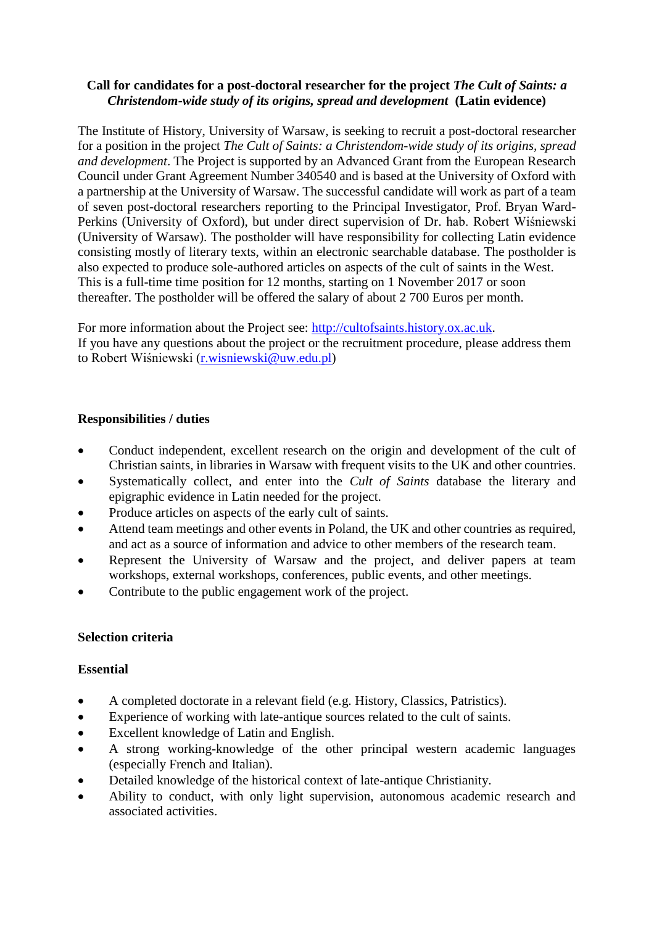# **Call for candidates for a post-doctoral researcher for the project** *The Cult of Saints: a Christendom-wide study of its origins, spread and development* **(Latin evidence)**

The Institute of History, University of Warsaw, is seeking to recruit a post-doctoral researcher for a position in the project *The Cult of Saints: a Christendom-wide study of its origins, spread and development*. The Project is supported by an Advanced Grant from the European Research Council under Grant Agreement Number 340540 and is based at the University of Oxford with a partnership at the University of Warsaw. The successful candidate will work as part of a team of seven post-doctoral researchers reporting to the Principal Investigator, Prof. Bryan Ward-Perkins (University of Oxford), but under direct supervision of Dr. hab. Robert Wiśniewski (University of Warsaw). The postholder will have responsibility for collecting Latin evidence consisting mostly of literary texts, within an electronic searchable database. The postholder is also expected to produce sole-authored articles on aspects of the cult of saints in the West. This is a full-time time position for 12 months, starting on 1 November 2017 or soon thereafter. The postholder will be offered the salary of about 2 700 Euros per month.

For more information about the Project see: [http://cultofsaints.history.ox.ac.uk.](http://cultofsaints.history.ox.ac.uk/) If you have any questions about the project or the recruitment procedure, please address them to Robert Wiśniewski [\(r.wisniewski@uw.edu.pl\)](mailto:r.wisniewski@uw.edu.pl)

### **Responsibilities / duties**

- Conduct independent, excellent research on the origin and development of the cult of Christian saints, in libraries in Warsaw with frequent visits to the UK and other countries.
- Systematically collect, and enter into the *Cult of Saints* database the literary and epigraphic evidence in Latin needed for the project.
- Produce articles on aspects of the early cult of saints.
- Attend team meetings and other events in Poland, the UK and other countries as required, and act as a source of information and advice to other members of the research team.
- Represent the University of Warsaw and the project, and deliver papers at team workshops, external workshops, conferences, public events, and other meetings.
- Contribute to the public engagement work of the project.

# **Selection criteria**

#### **Essential**

- A completed doctorate in a relevant field (e.g. History, Classics, Patristics).
- Experience of working with late-antique sources related to the cult of saints.
- Excellent knowledge of Latin and English.
- A strong working-knowledge of the other principal western academic languages (especially French and Italian).
- Detailed knowledge of the historical context of late-antique Christianity.
- Ability to conduct, with only light supervision, autonomous academic research and associated activities.